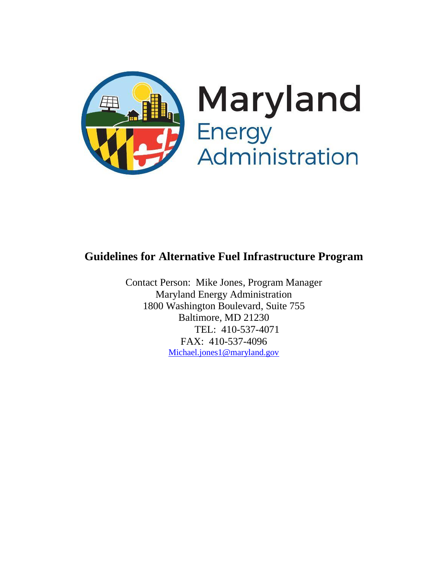

## **Guidelines for Alternative Fuel Infrastructure Program**

Contact Person: Mike Jones, Program Manager Maryland Energy Administration 1800 Washington Boulevard, Suite 755 Baltimore, MD 21230 TEL: 410-537-4071 FAX: 410-537-4096 [Michael.jones1@maryland.gov](mailto:Michael.jones1@maryland.gov)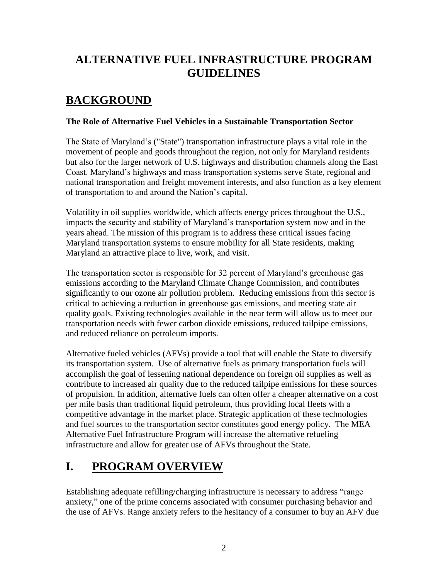## **ALTERNATIVE FUEL INFRASTRUCTURE PROGRAM GUIDELINES**

# **BACKGROUND**

### **The Role of Alternative Fuel Vehicles in a Sustainable Transportation Sector**

The State of Maryland's ("State") transportation infrastructure plays a vital role in the movement of people and goods throughout the region, not only for Maryland residents but also for the larger network of U.S. highways and distribution channels along the East Coast. Maryland's highways and mass transportation systems serve State, regional and national transportation and freight movement interests, and also function as a key element of transportation to and around the Nation's capital.

Volatility in oil supplies worldwide, which affects energy prices throughout the U.S., impacts the security and stability of Maryland's transportation system now and in the years ahead. The mission of this program is to address these critical issues facing Maryland transportation systems to ensure mobility for all State residents, making Maryland an attractive place to live, work, and visit.

The transportation sector is responsible for 32 percent of Maryland's greenhouse gas emissions according to the Maryland Climate Change Commission, and contributes significantly to our ozone air pollution problem. Reducing emissions from this sector is critical to achieving a reduction in greenhouse gas emissions, and meeting state air quality goals. Existing technologies available in the near term will allow us to meet our transportation needs with fewer carbon dioxide emissions, reduced tailpipe emissions, and reduced reliance on petroleum imports.

Alternative fueled vehicles (AFVs) provide a tool that will enable the State to diversify its transportation system. Use of alternative fuels as primary transportation fuels will accomplish the goal of lessening national dependence on foreign oil supplies as well as contribute to increased air quality due to the reduced tailpipe emissions for these sources of propulsion. In addition, alternative fuels can often offer a cheaper alternative on a cost per mile basis than traditional liquid petroleum, thus providing local fleets with a competitive advantage in the market place. Strategic application of these technologies and fuel sources to the transportation sector constitutes good energy policy. The MEA Alternative Fuel Infrastructure Program will increase the alternative refueling infrastructure and allow for greater use of AFVs throughout the State.

# **I. PROGRAM OVERVIEW**

Establishing adequate refilling/charging infrastructure is necessary to address "range anxiety," one of the prime concerns associated with consumer purchasing behavior and the use of AFVs. Range anxiety refers to the hesitancy of a consumer to buy an AFV due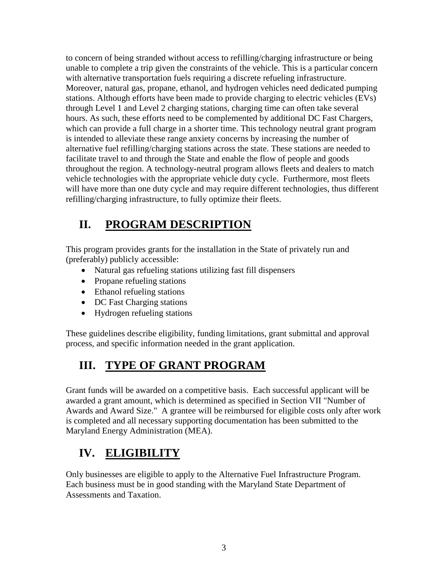to concern of being stranded without access to refilling/charging infrastructure or being unable to complete a trip given the constraints of the vehicle. This is a particular concern with alternative transportation fuels requiring a discrete refueling infrastructure. Moreover, natural gas, propane, ethanol, and hydrogen vehicles need dedicated pumping stations. Although efforts have been made to provide charging to electric vehicles (EVs) through Level 1 and Level 2 charging stations, charging time can often take several hours. As such, these efforts need to be complemented by additional DC Fast Chargers, which can provide a full charge in a shorter time. This technology neutral grant program is intended to alleviate these range anxiety concerns by increasing the number of alternative fuel refilling/charging stations across the state. These stations are needed to facilitate travel to and through the State and enable the flow of people and goods throughout the region. A technology-neutral program allows fleets and dealers to match vehicle technologies with the appropriate vehicle duty cycle. Furthermore, most fleets will have more than one duty cycle and may require different technologies, thus different refilling/charging infrastructure, to fully optimize their fleets.

# **II. PROGRAM DESCRIPTION**

This program provides grants for the installation in the State of privately run and (preferably) publicly accessible:

- Natural gas refueling stations utilizing fast fill dispensers
- Propane refueling stations
- Ethanol refueling stations
- DC Fast Charging stations
- Hydrogen refueling stations

These guidelines describe eligibility, funding limitations, grant submittal and approval process, and specific information needed in the grant application.

# **III. TYPE OF GRANT PROGRAM**

Grant funds will be awarded on a competitive basis. Each successful applicant will be awarded a grant amount, which is determined as specified in Section VII "Number of Awards and Award Size." A grantee will be reimbursed for eligible costs only after work is completed and all necessary supporting documentation has been submitted to the Maryland Energy Administration (MEA).

# **IV. ELIGIBILITY**

Only businesses are eligible to apply to the Alternative Fuel Infrastructure Program. Each business must be in good standing with the Maryland State Department of Assessments and Taxation.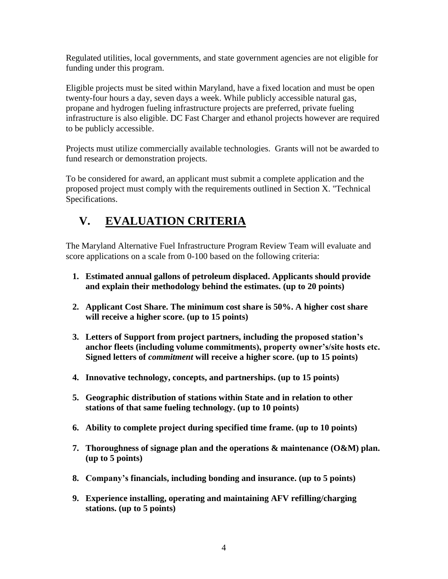Regulated utilities, local governments, and state government agencies are not eligible for funding under this program.

Eligible projects must be sited within Maryland, have a fixed location and must be open twenty-four hours a day, seven days a week. While publicly accessible natural gas, propane and hydrogen fueling infrastructure projects are preferred, private fueling infrastructure is also eligible. DC Fast Charger and ethanol projects however are required to be publicly accessible.

Projects must utilize commercially available technologies. Grants will not be awarded to fund research or demonstration projects.

To be considered for award, an applicant must submit a complete application and the proposed project must comply with the requirements outlined in Section X. "Technical Specifications.

# **V. EVALUATION CRITERIA**

The Maryland Alternative Fuel Infrastructure Program Review Team will evaluate and score applications on a scale from 0-100 based on the following criteria:

- **1. Estimated annual gallons of petroleum displaced. Applicants should provide and explain their methodology behind the estimates. (up to 20 points)**
- **2. Applicant Cost Share. The minimum cost share is 50%. A higher cost share will receive a higher score. (up to 15 points)**
- **3. Letters of Support from project partners, including the proposed station's anchor fleets (including volume commitments), property owner's/site hosts etc. Signed letters of** *commitment* **will receive a higher score. (up to 15 points)**
- **4. Innovative technology, concepts, and partnerships. (up to 15 points)**
- **5. Geographic distribution of stations within State and in relation to other stations of that same fueling technology. (up to 10 points)**
- **6. Ability to complete project during specified time frame. (up to 10 points)**
- **7. Thoroughness of signage plan and the operations & maintenance (O&M) plan. (up to 5 points)**
- **8. Company's financials, including bonding and insurance. (up to 5 points)**
- **9. Experience installing, operating and maintaining AFV refilling/charging stations. (up to 5 points)**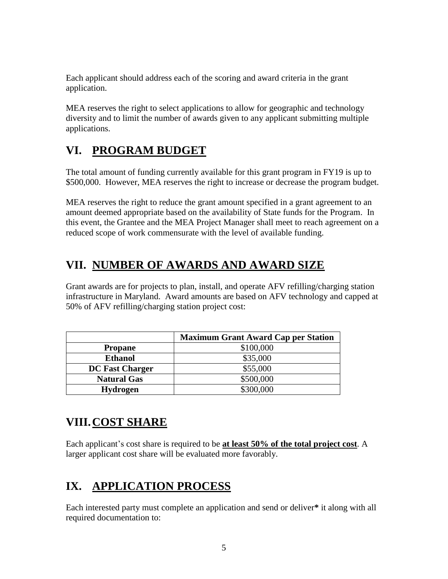Each applicant should address each of the scoring and award criteria in the grant application.

MEA reserves the right to select applications to allow for geographic and technology diversity and to limit the number of awards given to any applicant submitting multiple applications.

# **VI. PROGRAM BUDGET**

The total amount of funding currently available for this grant program in FY19 is up to \$500,000. However, MEA reserves the right to increase or decrease the program budget.

MEA reserves the right to reduce the grant amount specified in a grant agreement to an amount deemed appropriate based on the availability of State funds for the Program. In this event, the Grantee and the MEA Project Manager shall meet to reach agreement on a reduced scope of work commensurate with the level of available funding.

# **VII. NUMBER OF AWARDS AND AWARD SIZE**

Grant awards are for projects to plan, install, and operate AFV refilling/charging station infrastructure in Maryland. Award amounts are based on AFV technology and capped at 50% of AFV refilling/charging station project cost:

|                        | <b>Maximum Grant Award Cap per Station</b> |
|------------------------|--------------------------------------------|
| <b>Propane</b>         | \$100,000                                  |
| <b>Ethanol</b>         | \$35,000                                   |
| <b>DC Fast Charger</b> | \$55,000                                   |
| <b>Natural Gas</b>     | \$500,000                                  |
| <b>Hydrogen</b>        | \$300,000                                  |

# **VIII.COST SHARE**

Each applicant's cost share is required to be **at least 50% of the total project cost**. A larger applicant cost share will be evaluated more favorably.

# **IX. APPLICATION PROCESS**

Each interested party must complete an application and send or deliver**\*** it along with all required documentation to: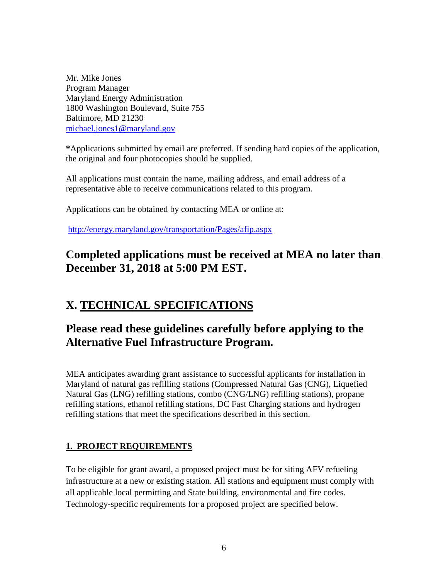Mr. Mike Jones Program Manager Maryland Energy Administration 1800 Washington Boulevard, Suite 755 Baltimore, MD 21230 [michael.jones1@maryland.gov](mailto:michael.jones1@maryland.gov)

**\***Applications submitted by email are preferred. If sending hard copies of the application, the original and four photocopies should be supplied.

All applications must contain the name, mailing address, and email address of a representative able to receive communications related to this program.

Applications can be obtained by contacting MEA or online at:

<http://energy.maryland.gov/transportation/Pages/afip.aspx>

## **Completed applications must be received at MEA no later than December 31, 2018 at 5:00 PM EST.**

# **X. TECHNICAL SPECIFICATIONS**

## **Please read these guidelines carefully before applying to the Alternative Fuel Infrastructure Program.**

MEA anticipates awarding grant assistance to successful applicants for installation in Maryland of natural gas refilling stations (Compressed Natural Gas (CNG), Liquefied Natural Gas (LNG) refilling stations, combo (CNG/LNG) refilling stations), propane refilling stations, ethanol refilling stations, DC Fast Charging stations and hydrogen refilling stations that meet the specifications described in this section.

## **1. PROJECT REQUIREMENTS**

To be eligible for grant award, a proposed project must be for siting AFV refueling infrastructure at a new or existing station. All stations and equipment must comply with all applicable local permitting and State building, environmental and fire codes. Technology-specific requirements for a proposed project are specified below.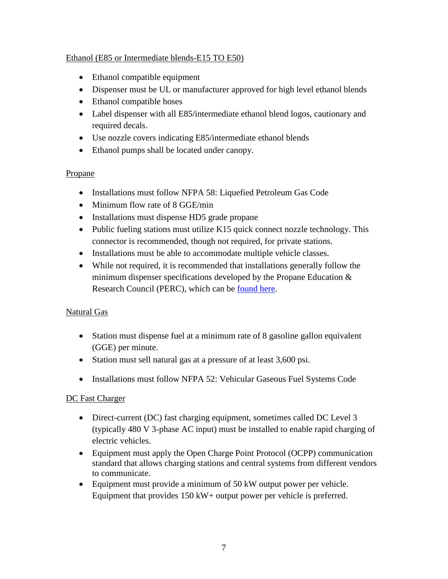### Ethanol (E85 or Intermediate blends-E15 TO E50)

- Ethanol compatible equipment
- Dispenser must be UL or manufacturer approved for high level ethanol blends
- Ethanol compatible hoses
- Label dispenser with all E85/intermediate ethanol blend logos, cautionary and required decals.
- Use nozzle covers indicating E85/intermediate ethanol blends
- Ethanol pumps shall be located under canopy.

### Propane

- Installations must follow NFPA 58: Liquefied Petroleum Gas Code
- Minimum flow rate of 8 GGE/min
- Installations must dispense HD5 grade propane
- Public fueling stations must utilize K15 quick connect nozzle technology. This connector is recommended, though not required, for private stations.
- Installations must be able to accommodate multiple vehicle classes.
- While not required, it is recommended that installations generally follow the minimum dispenser specifications developed by the Propane Education  $\&$ Research Council (PERC), which can be [found here.](https://www.propane.com/uploadedFiles/PropaneMain/Propane/On_Road_Fleets/Safety_and_Training/Contents/PropaneAutogasDispenserSpecifications.pdf)

## Natural Gas

- Station must dispense fuel at a minimum rate of 8 gasoline gallon equivalent (GGE) per minute.
- Station must sell natural gas at a pressure of at least 3,600 psi.
- Installations must follow NFPA 52: Vehicular Gaseous Fuel Systems Code

### DC Fast Charger

- Direct-current (DC) fast charging equipment, sometimes called DC Level 3 (typically 480 V 3-phase AC input) must be installed to enable rapid charging of electric vehicles.
- Equipment must apply the Open Charge Point Protocol (OCPP) communication standard that allows charging stations and central systems from different vendors to communicate.
- Equipment must provide a minimum of 50 kW output power per vehicle. Equipment that provides 150 kW+ output power per vehicle is preferred.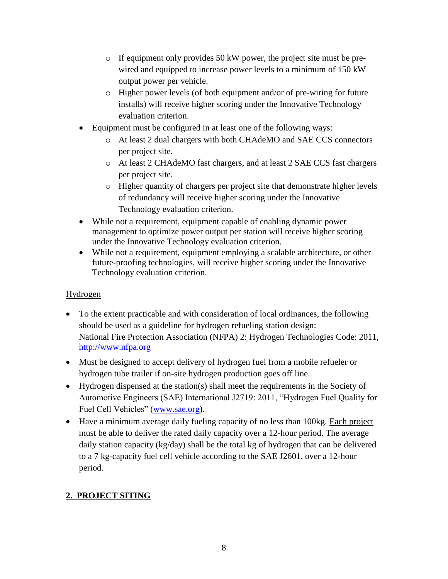- o If equipment only provides 50 kW power, the project site must be prewired and equipped to increase power levels to a minimum of 150 kW output power per vehicle.
- o Higher power levels (of both equipment and/or of pre-wiring for future installs) will receive higher scoring under the Innovative Technology evaluation criterion.
- Equipment must be configured in at least one of the following ways:
	- o At least 2 dual chargers with both CHAdeMO and SAE CCS connectors per project site.
	- o At least 2 CHAdeMO fast chargers, and at least 2 SAE CCS fast chargers per project site.
	- o Higher quantity of chargers per project site that demonstrate higher levels of redundancy will receive higher scoring under the Innovative Technology evaluation criterion.
- While not a requirement, equipment capable of enabling dynamic power management to optimize power output per station will receive higher scoring under the Innovative Technology evaluation criterion.
- While not a requirement, equipment employing a scalable architecture, or other future-proofing technologies, will receive higher scoring under the Innovative Technology evaluation criterion.

## Hydrogen

- To the extent practicable and with consideration of local ordinances, the following should be used as a guideline for hydrogen refueling station design: National Fire Protection Association (NFPA) 2: Hydrogen Technologies Code: 2011, [http://www.nfpa.org](http://www.nfpa.org/)
- Must be designed to accept delivery of hydrogen fuel from a mobile refueler or hydrogen tube trailer if on-site hydrogen production goes off line.
- Hydrogen dispensed at the station(s) shall meet the requirements in the Society of Automotive Engineers (SAE) International J2719: 2011, "Hydrogen Fuel Quality for Fuel Cell Vehicles" [\(www.sae.org\)](http://www.sae.org/).
- Have a minimum average daily fueling capacity of no less than 100kg. Each project must be able to deliver the rated daily capacity over a 12-hour period. The average daily station capacity ( $kg/day$ ) shall be the total kg of hydrogen that can be delivered to a 7 kg-capacity fuel cell vehicle according to the SAE J2601, over a 12-hour period.

## **2. PROJECT SITING**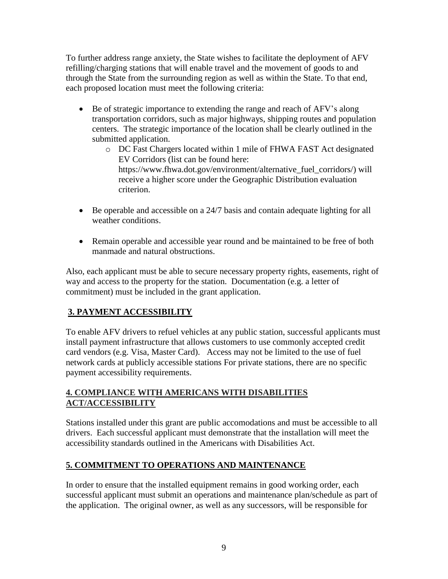To further address range anxiety, the State wishes to facilitate the deployment of AFV refilling/charging stations that will enable travel and the movement of goods to and through the State from the surrounding region as well as within the State. To that end, each proposed location must meet the following criteria:

- Be of strategic importance to extending the range and reach of AFV's along transportation corridors, such as major highways, shipping routes and population centers. The strategic importance of the location shall be clearly outlined in the submitted application.
	- o DC Fast Chargers located within 1 mile of FHWA FAST Act designated EV Corridors (list can be found here: https://www.fhwa.dot.gov/environment/alternative\_fuel\_corridors/) will receive a higher score under the Geographic Distribution evaluation criterion.
- Be operable and accessible on a 24/7 basis and contain adequate lighting for all weather conditions.
- Remain operable and accessible year round and be maintained to be free of both manmade and natural obstructions.

Also, each applicant must be able to secure necessary property rights, easements, right of way and access to the property for the station. Documentation (e.g. a letter of commitment) must be included in the grant application.

## **3. PAYMENT ACCESSIBILITY**

To enable AFV drivers to refuel vehicles at any public station, successful applicants must install payment infrastructure that allows customers to use commonly accepted credit card vendors (e.g. Visa, Master Card). Access may not be limited to the use of fuel network cards at publicly accessible stations For private stations, there are no specific payment accessibility requirements.

### **4. COMPLIANCE WITH AMERICANS WITH DISABILITIES ACT/ACCESSIBILITY**

Stations installed under this grant are public accomodations and must be accessible to all drivers. Each successful applicant must demonstrate that the installation will meet the accessibility standards outlined in the Americans with Disabilities Act.

## **5. COMMITMENT TO OPERATIONS AND MAINTENANCE**

In order to ensure that the installed equipment remains in good working order, each successful applicant must submit an operations and maintenance plan/schedule as part of the application. The original owner, as well as any successors, will be responsible for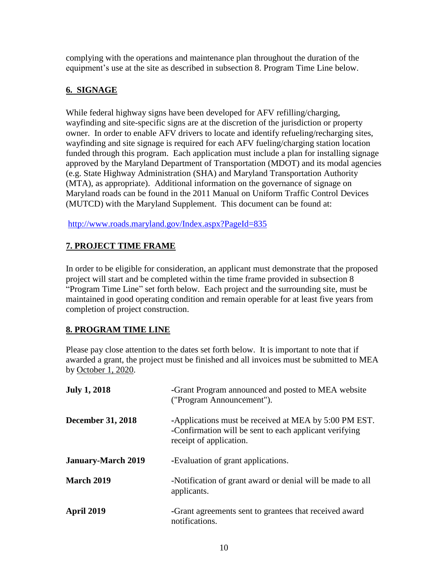complying with the operations and maintenance plan throughout the duration of the equipment's use at the site as described in subsection 8. Program Time Line below.

## **6. SIGNAGE**

While federal highway signs have been developed for AFV refilling/charging, wayfinding and site-specific signs are at the discretion of the jurisdiction or property owner. In order to enable AFV drivers to locate and identify refueling/recharging sites, wayfinding and site signage is required for each AFV fueling/charging station location funded through this program. Each application must include a plan for installing signage approved by the Maryland Department of Transportation (MDOT) and its modal agencies (e.g. State Highway Administration (SHA) and Maryland Transportation Authority (MTA), as appropriate). Additional information on the governance of signage on Maryland roads can be found in the 2011 Manual on Uniform Traffic Control Devices (MUTCD) with the Maryland Supplement. This document can be found at:

<http://www.roads.maryland.gov/Index.aspx?PageId=835>

## **7. PROJECT TIME FRAME**

In order to be eligible for consideration, an applicant must demonstrate that the proposed project will start and be completed within the time frame provided in subsection 8 "Program Time Line" set forth below. Each project and the surrounding site, must be maintained in good operating condition and remain operable for at least five years from completion of project construction.

## **8. PROGRAM TIME LINE**

Please pay close attention to the dates set forth below. It is important to note that if awarded a grant, the project must be finished and all invoices must be submitted to MEA by October 1, 2020.

| <b>July 1, 2018</b>       | -Grant Program announced and posted to MEA website<br>("Program Announcement").                                                            |
|---------------------------|--------------------------------------------------------------------------------------------------------------------------------------------|
| <b>December 31, 2018</b>  | -Applications must be received at MEA by 5:00 PM EST.<br>-Confirmation will be sent to each applicant verifying<br>receipt of application. |
| <b>January-March 2019</b> | -Evaluation of grant applications.                                                                                                         |
| March 2019                | -Notification of grant award or denial will be made to all<br>applicants.                                                                  |
| April 2019                | -Grant agreements sent to grantees that received award<br>notifications.                                                                   |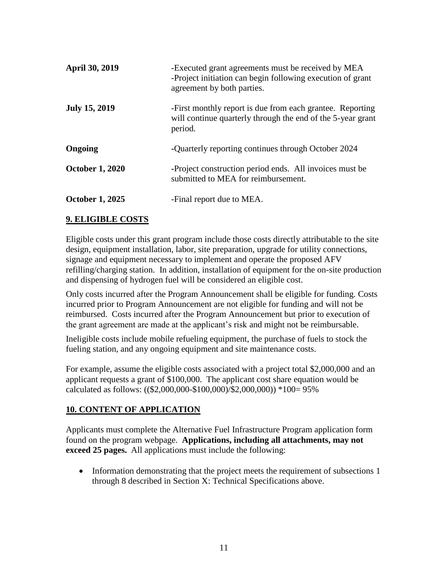| <b>April 30, 2019</b>  | -Executed grant agreements must be received by MEA<br>-Project initiation can begin following execution of grant<br>agreement by both parties. |
|------------------------|------------------------------------------------------------------------------------------------------------------------------------------------|
| <b>July 15, 2019</b>   | -First monthly report is due from each grantee. Reporting<br>will continue quarterly through the end of the 5-year grant<br>period.            |
| Ongoing                | -Quarterly reporting continues through October 2024                                                                                            |
| <b>October 1, 2020</b> | -Project construction period ends. All invoices must be<br>submitted to MEA for reimbursement.                                                 |
| <b>October 1, 2025</b> | -Final report due to MEA.                                                                                                                      |

### **9. ELIGIBLE COSTS**

Eligible costs under this grant program include those costs directly attributable to the site design, equipment installation, labor, site preparation, upgrade for utility connections, signage and equipment necessary to implement and operate the proposed AFV refilling/charging station. In addition, installation of equipment for the on-site production and dispensing of hydrogen fuel will be considered an eligible cost.

Only costs incurred after the Program Announcement shall be eligible for funding. Costs incurred prior to Program Announcement are not eligible for funding and will not be reimbursed. Costs incurred after the Program Announcement but prior to execution of the grant agreement are made at the applicant's risk and might not be reimbursable.

Ineligible costs include mobile refueling equipment, the purchase of fuels to stock the fueling station, and any ongoing equipment and site maintenance costs.

For example, assume the eligible costs associated with a project total \$2,000,000 and an applicant requests a grant of \$100,000. The applicant cost share equation would be calculated as follows: ((\$2,000,000-\$100,000)/\$2,000,000)) \*100= 95%

### **10. CONTENT OF APPLICATION**

Applicants must complete the Alternative Fuel Infrastructure Program application form found on the program webpage. **Applications, including all attachments, may not exceed 25 pages.** All applications must include the following:

• Information demonstrating that the project meets the requirement of subsections 1 through 8 described in Section X: Technical Specifications above.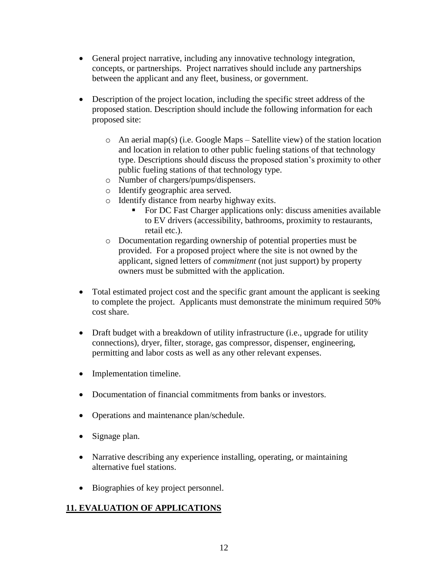- General project narrative, including any innovative technology integration, concepts, or partnerships. Project narratives should include any partnerships between the applicant and any fleet, business, or government.
- Description of the project location, including the specific street address of the proposed station. Description should include the following information for each proposed site:
	- o An aerial map(s) (i.e. Google Maps Satellite view) of the station location and location in relation to other public fueling stations of that technology type. Descriptions should discuss the proposed station's proximity to other public fueling stations of that technology type.
	- o Number of chargers/pumps/dispensers.
	- o Identify geographic area served.
	- o Identify distance from nearby highway exits.
		- For DC Fast Charger applications only: discuss amenities available to EV drivers (accessibility, bathrooms, proximity to restaurants, retail etc.).
	- o Documentation regarding ownership of potential properties must be provided. For a proposed project where the site is not owned by the applicant, signed letters of *commitment* (not just support) by property owners must be submitted with the application.
- Total estimated project cost and the specific grant amount the applicant is seeking to complete the project. Applicants must demonstrate the minimum required 50% cost share.
- Draft budget with a breakdown of utility infrastructure (i.e., upgrade for utility connections), dryer, filter, storage, gas compressor, dispenser, engineering, permitting and labor costs as well as any other relevant expenses.
- Implementation timeline.
- Documentation of financial commitments from banks or investors.
- Operations and maintenance plan/schedule.
- Signage plan.
- Narrative describing any experience installing, operating, or maintaining alternative fuel stations.
- Biographies of key project personnel.

## **11. EVALUATION OF APPLICATIONS**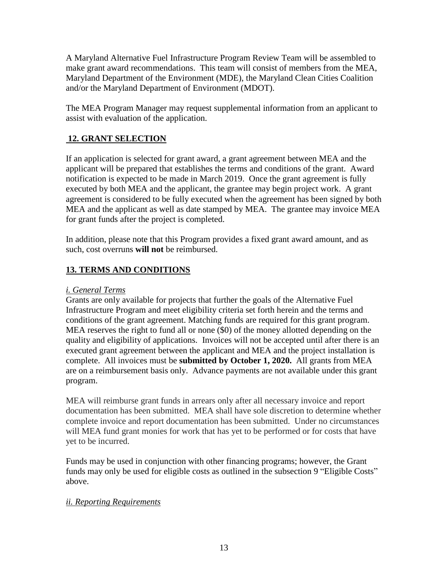A Maryland Alternative Fuel Infrastructure Program Review Team will be assembled to make grant award recommendations. This team will consist of members from the MEA, Maryland Department of the Environment (MDE), the Maryland Clean Cities Coalition and/or the Maryland Department of Environment (MDOT).

The MEA Program Manager may request supplemental information from an applicant to assist with evaluation of the application.

### **12. GRANT SELECTION**

If an application is selected for grant award, a grant agreement between MEA and the applicant will be prepared that establishes the terms and conditions of the grant. Award notification is expected to be made in March 2019. Once the grant agreement is fully executed by both MEA and the applicant, the grantee may begin project work. A grant agreement is considered to be fully executed when the agreement has been signed by both MEA and the applicant as well as date stamped by MEA. The grantee may invoice MEA for grant funds after the project is completed.

In addition, please note that this Program provides a fixed grant award amount, and as such, cost overruns **will not** be reimbursed.

## **13. TERMS AND CONDITIONS**

#### *i. General Terms*

Grants are only available for projects that further the goals of the Alternative Fuel Infrastructure Program and meet eligibility criteria set forth herein and the terms and conditions of the grant agreement. Matching funds are required for this grant program. MEA reserves the right to fund all or none (\$0) of the money allotted depending on the quality and eligibility of applications. Invoices will not be accepted until after there is an executed grant agreement between the applicant and MEA and the project installation is complete. All invoices must be **submitted by October 1, 2020.** All grants from MEA are on a reimbursement basis only. Advance payments are not available under this grant program.

MEA will reimburse grant funds in arrears only after all necessary invoice and report documentation has been submitted. MEA shall have sole discretion to determine whether complete invoice and report documentation has been submitted. Under no circumstances will MEA fund grant monies for work that has yet to be performed or for costs that have yet to be incurred.

Funds may be used in conjunction with other financing programs; however, the Grant funds may only be used for eligible costs as outlined in the subsection 9 "Eligible Costs" above.

### *ii. Reporting Requirements*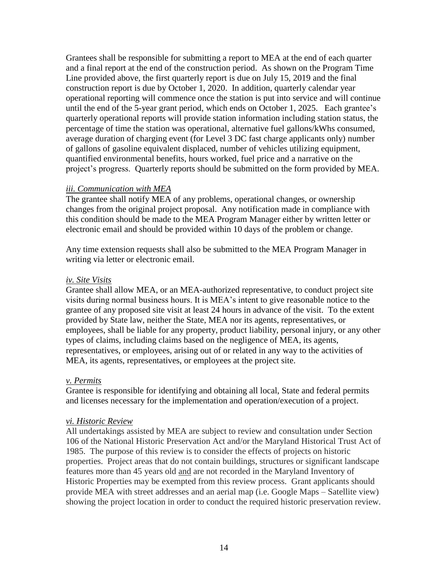Grantees shall be responsible for submitting a report to MEA at the end of each quarter and a final report at the end of the construction period. As shown on the Program Time Line provided above, the first quarterly report is due on July 15, 2019 and the final construction report is due by October 1, 2020. In addition, quarterly calendar year operational reporting will commence once the station is put into service and will continue until the end of the 5-year grant period, which ends on October 1, 2025. Each grantee's quarterly operational reports will provide station information including station status, the percentage of time the station was operational, alternative fuel gallons/kWhs consumed, average duration of charging event (for Level 3 DC fast charge applicants only) number of gallons of gasoline equivalent displaced, number of vehicles utilizing equipment, quantified environmental benefits, hours worked, fuel price and a narrative on the project's progress. Quarterly reports should be submitted on the form provided by MEA.

#### *iii. Communication with MEA*

The grantee shall notify MEA of any problems, operational changes, or ownership changes from the original project proposal. Any notification made in compliance with this condition should be made to the MEA Program Manager either by written letter or electronic email and should be provided within 10 days of the problem or change.

Any time extension requests shall also be submitted to the MEA Program Manager in writing via letter or electronic email.

#### *iv. Site Visits*

Grantee shall allow MEA, or an MEA-authorized representative, to conduct project site visits during normal business hours. It is MEA's intent to give reasonable notice to the grantee of any proposed site visit at least 24 hours in advance of the visit. To the extent provided by State law, neither the State, MEA nor its agents, representatives, or employees, shall be liable for any property, product liability, personal injury, or any other types of claims, including claims based on the negligence of MEA, its agents, representatives, or employees, arising out of or related in any way to the activities of MEA, its agents, representatives, or employees at the project site.

#### *v. Permits*

Grantee is responsible for identifying and obtaining all local, State and federal permits and licenses necessary for the implementation and operation/execution of a project.

### *vi. Historic Review*

All undertakings assisted by MEA are subject to review and consultation under Section 106 of the National Historic Preservation Act and/or the Maryland Historical Trust Act of 1985. The purpose of this review is to consider the effects of projects on historic properties. Project areas that do not contain buildings, structures or significant landscape features more than 45 years old and are not recorded in the Maryland Inventory of Historic Properties may be exempted from this review process. Grant applicants should provide MEA with street addresses and an aerial map (i.e. Google Maps – Satellite view) showing the project location in order to conduct the required historic preservation review.